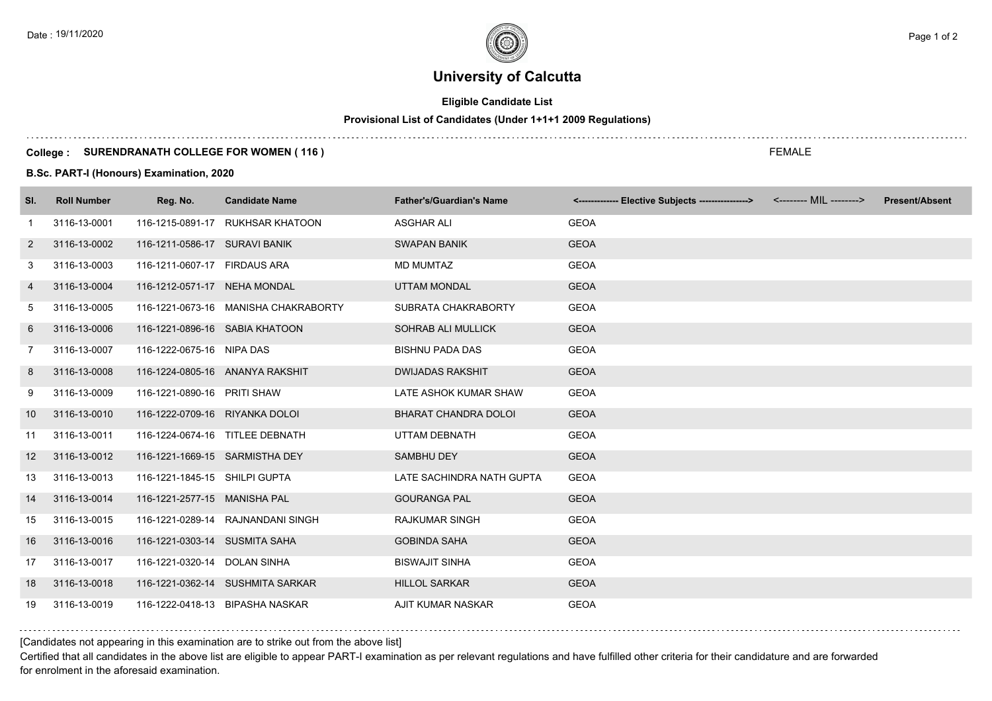# **University of Calcutta**

### **Eligible Candidate List**

## **Provisional List of Candidates (Under 1+1+1 2009 Regulations)**

### **College : SURENDRANATH COLLEGE FOR WOMEN ( 116 )**

**B.Sc. PART-I (Honours) Examination, 2020**

| SI.            | <b>Roll Number</b> | Reg. No.                       | <b>Candidate Name</b>                | <b>Father's/Guardian's Name</b> | <-------------- Elective Subjects ----------------> <-------- MIL --------> | <b>Present/Absent</b> |
|----------------|--------------------|--------------------------------|--------------------------------------|---------------------------------|-----------------------------------------------------------------------------|-----------------------|
| -1             | 3116-13-0001       |                                | 116-1215-0891-17 RUKHSAR KHATOON     | <b>ASGHAR ALI</b>               | <b>GEOA</b>                                                                 |                       |
| $\overline{2}$ | 3116-13-0002       | 116-1211-0586-17 SURAVI BANIK  |                                      | <b>SWAPAN BANIK</b>             | <b>GEOA</b>                                                                 |                       |
| 3              | 3116-13-0003       | 116-1211-0607-17 FIRDAUS ARA   |                                      | <b>MD MUMTAZ</b>                | <b>GEOA</b>                                                                 |                       |
| 4              | 3116-13-0004       | 116-1212-0571-17 NEHA MONDAL   |                                      | <b>UTTAM MONDAL</b>             | <b>GEOA</b>                                                                 |                       |
| 5              | 3116-13-0005       |                                | 116-1221-0673-16 MANISHA CHAKRABORTY | SUBRATA CHAKRABORTY             | <b>GEOA</b>                                                                 |                       |
| 6              | 3116-13-0006       | 116-1221-0896-16 SABIA KHATOON |                                      | <b>SOHRAB ALI MULLICK</b>       | <b>GEOA</b>                                                                 |                       |
| 7              | 3116-13-0007       | 116-1222-0675-16 NIPA DAS      |                                      | <b>BISHNU PADA DAS</b>          | <b>GEOA</b>                                                                 |                       |
| 8              | 3116-13-0008       |                                | 116-1224-0805-16 ANANYA RAKSHIT      | <b>DWIJADAS RAKSHIT</b>         | <b>GEOA</b>                                                                 |                       |
| 9              | 3116-13-0009       | 116-1221-0890-16 PRITI SHAW    |                                      | LATE ASHOK KUMAR SHAW           | <b>GEOA</b>                                                                 |                       |
| 10             | 3116-13-0010       | 116-1222-0709-16 RIYANKA DOLOI |                                      | BHARAT CHANDRA DOLOI            | <b>GEOA</b>                                                                 |                       |
| 11             | 3116-13-0011       |                                | 116-1224-0674-16 TITLEE DEBNATH      | UTTAM DEBNATH                   | <b>GEOA</b>                                                                 |                       |
| 12             | 3116-13-0012       | 116-1221-1669-15 SARMISTHA DEY |                                      | <b>SAMBHU DEY</b>               | <b>GEOA</b>                                                                 |                       |
| 13             | 3116-13-0013       | 116-1221-1845-15 SHILPI GUPTA  |                                      | LATE SACHINDRA NATH GUPTA       | <b>GEOA</b>                                                                 |                       |
| 14             | 3116-13-0014       | 116-1221-2577-15 MANISHA PAL   |                                      | <b>GOURANGA PAL</b>             | <b>GEOA</b>                                                                 |                       |
| 15             | 3116-13-0015       |                                | 116-1221-0289-14 RAJNANDANI SINGH    | <b>RAJKUMAR SINGH</b>           | <b>GEOA</b>                                                                 |                       |
| 16             | 3116-13-0016       | 116-1221-0303-14 SUSMITA SAHA  |                                      | <b>GOBINDA SAHA</b>             | <b>GEOA</b>                                                                 |                       |
| 17             | 3116-13-0017       | 116-1221-0320-14 DOLAN SINHA   |                                      | <b>BISWAJIT SINHA</b>           | <b>GEOA</b>                                                                 |                       |
| 18             | 3116-13-0018       |                                | 116-1221-0362-14 SUSHMITA SARKAR     | <b>HILLOL SARKAR</b>            | <b>GEOA</b>                                                                 |                       |
| 19             | 3116-13-0019       |                                | 116-1222-0418-13 BIPASHA NASKAR      | <b>AJIT KUMAR NASKAR</b>        | <b>GEOA</b>                                                                 |                       |

[Candidates not appearing in this examination are to strike out from the above list]

Certified that all candidates in the above list are eligible to appear PART-I examination as per relevant regulations and have fulfilled other criteria for their candidature and are forwarded for enrolment in the aforesaid examination.

FEMALE